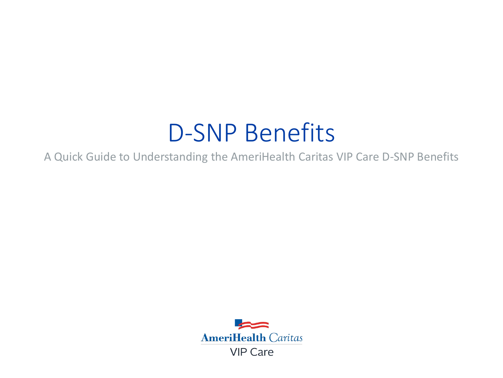# D-SNP Benefits

A Quick Guide to Understanding the AmeriHealth Caritas VIP Care D-SNP Benefits

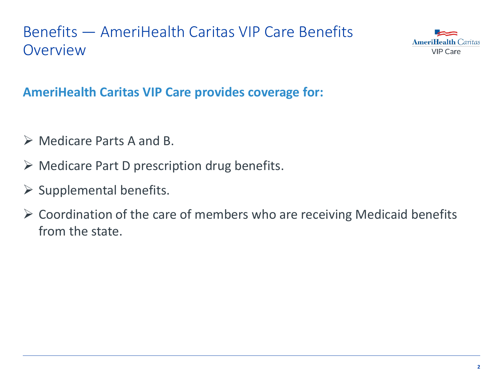### Benefits — AmeriHealth Caritas VIP Care Benefits **Overview**



### **AmeriHealth Caritas VIP Care provides coverage for:**

- Medicare Parts A and B.
- $\triangleright$  Medicare Part D prescription drug benefits.
- $\triangleright$  Supplemental benefits.
- $\triangleright$  Coordination of the care of members who are receiving Medicaid benefits from the state.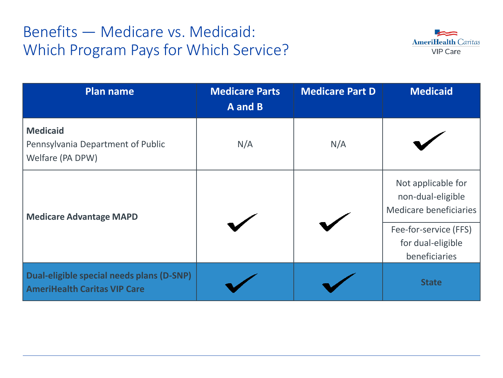### Benefits — Medicare vs. Medicaid: Which Program Pays for Which Service?



| <b>Plan name</b>                                                                 | <b>Medicare Parts</b><br>A and B | <b>Medicare Part D</b> | <b>Medicaid</b>                                                   |
|----------------------------------------------------------------------------------|----------------------------------|------------------------|-------------------------------------------------------------------|
| <b>Medicaid</b><br>Pennsylvania Department of Public<br>Welfare (PA DPW)         | N/A                              | N/A                    |                                                                   |
| <b>Medicare Advantage MAPD</b>                                                   |                                  |                        | Not applicable for<br>non-dual-eligible<br>Medicare beneficiaries |
|                                                                                  |                                  |                        | Fee-for-service (FFS)<br>for dual-eligible<br>beneficiaries       |
| Dual-eligible special needs plans (D-SNP)<br><b>AmeriHealth Caritas VIP Care</b> |                                  |                        | <b>State</b>                                                      |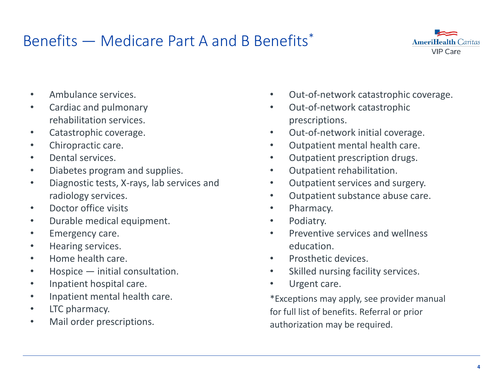### Benefits — Medicare Part A and B Benefits\*



- Ambulance services.
- Cardiac and pulmonary rehabilitation services.
- Catastrophic coverage.
- Chiropractic care.
- Dental services.
- Diabetes program and supplies.
- Diagnostic tests, X-rays, lab services and radiology services.
- Doctor office visits
- Durable medical equipment.
- Emergency care.
- Hearing services.
- Home health care.
- Hospice initial consultation.
- Inpatient hospital care.
- Inpatient mental health care.
- LTC pharmacy.
- Mail order prescriptions.
- Out-of-network catastrophic coverage.
- Out-of-network catastrophic prescriptions.
- Out-of-network initial coverage.
- Outpatient mental health care.
- Outpatient prescription drugs.
- Outpatient rehabilitation.
- Outpatient services and surgery.
- Outpatient substance abuse care.
- Pharmacy.
- Podiatry.
- Preventive services and wellness education.
- Prosthetic devices.
- Skilled nursing facility services.
- Urgent care.

\*Exceptions may apply, see provider manual for full list of benefits. Referral or prior authorization may be required.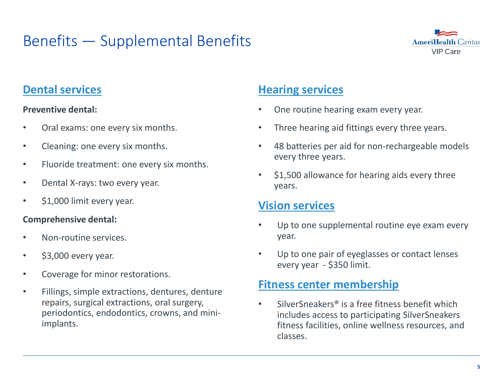### Benefits — Supplemental Benefits



### **Dental services**

#### **Preventive dental:**

- Oral exams: one every six months.
- Cleaning: one every six months.
- Fluoride treatment: one every six months.
- Dental X-rays: two every year.
- \$1,000 limit every year.

#### **Comprehensive dental:**

- Non-routine services.
- \$3,000 every year.
- Coverage for minor restorations.
- Fillings, simple extractions, dentures, denture repairs, surgical extractions, oral surgery, periodontics, endodontics, crowns, and miniimplants.

### **Hearing services**

- One routine hearing exam every year.
- Three hearing aid fittings every three years.
- 48 batteries per aid for non-rechargeable models every three years.
- \$1,500 allowance for hearing aids every three years.

#### **Vision services**

- Up to one supplemental routine eye exam every year.
- Up to one pair of eyeglasses or contact lenses every year - \$350 limit.

#### **Fitness center membership**

SilverSneakers<sup>®</sup> is a free fitness benefit which includes access to participating SilverSneakers fitness facilities, online wellness resources, and classes.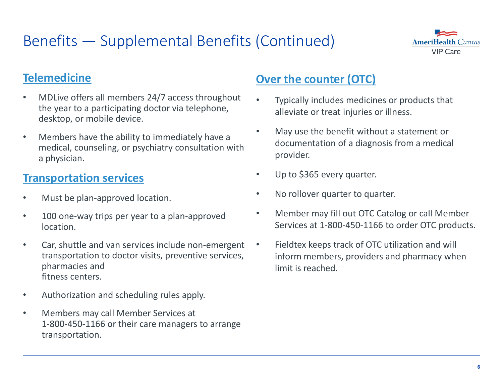### Benefits — Supplemental Benefits (Continued)



### **Telemedicine**

- MDLive offers all members 24/7 access throughout the year to a participating doctor via telephone, desktop, or mobile device.
- Members have the ability to immediately have a medical, counseling, or psychiatry consultation with a physician.

#### **Transportation services**

- Must be plan-approved location.
- 100 one-way trips per year to a plan-approved location.
- Car, shuttle and van services include non-emergent transportation to doctor visits, preventive services, pharmacies and fitness centers.
- Authorization and scheduling rules apply.
- Members may call Member Services at 1-800-450-1166 or their care managers to arrange transportation.

### **Over the counter (OTC)**

- Typically includes medicines or products that alleviate or treat injuries or illness.
- May use the benefit without a statement or documentation of a diagnosis from a medical provider.
- Up to \$365 every quarter.
- No rollover quarter to quarter.
- Member may fill out OTC Catalog or call Member Services at 1-800-450-1166 to order OTC products.
- Fieldtex keeps track of OTC utilization and will inform members, providers and pharmacy when limit is reached.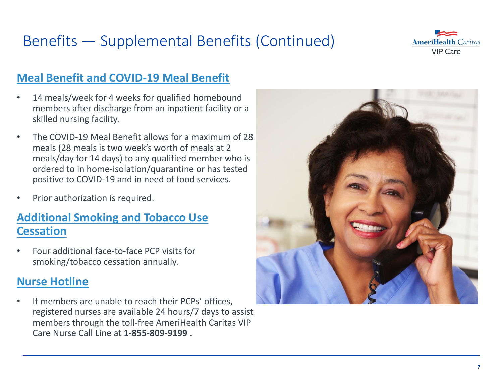# Benefits — Supplemental Benefits (Continued)



### **Meal Benefit and COVID-19 Meal Benefit**

- 14 meals/week for 4 weeks for qualified homebound members after discharge from an inpatient facility or a skilled nursing facility.
- The COVID-19 Meal Benefit allows for a maximum of 28 meals (28 meals is two week's worth of meals at 2 meals/day for 14 days) to any qualified member who is ordered to in home-isolation/quarantine or has tested positive to COVID-19 and in need of food services.
- Prior authorization is required.

#### **Additional Smoking and Tobacco Use Cessation**

• Four additional face-to-face PCP visits for smoking/tobacco cessation annually.

#### **Nurse Hotline**

• If members are unable to reach their PCPs' offices, registered nurses are available 24 hours/7 days to assist members through the toll-free AmeriHealth Caritas VIP Care Nurse Call Line at **1-855-809-9199 .**

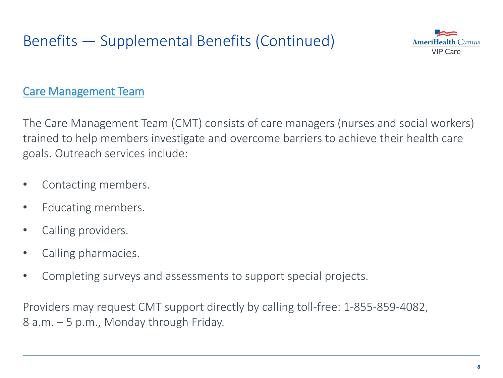# Benefits — Supplemental Benefits (Continued)



### Care Management Team

The Care Management Team (CMT) consists of care managers (nurses and social workers) trained to help members investigate and overcome barriers to achieve their health care goals. Outreach services include:

- Contacting members.
- Educating members.
- Calling providers.
- Calling pharmacies.
- Completing surveys and assessments to support special projects.

Providers may request CMT support directly by calling toll-free: 1-855-859-4082, 8 a.m. – 5 p.m., Monday through Friday.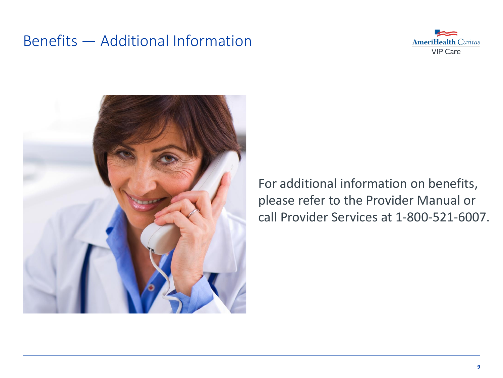### Benefits — Additional Information





For additional information on benefits, please refer to the Provider Manual or call Provider Services at 1-800-521-6007.